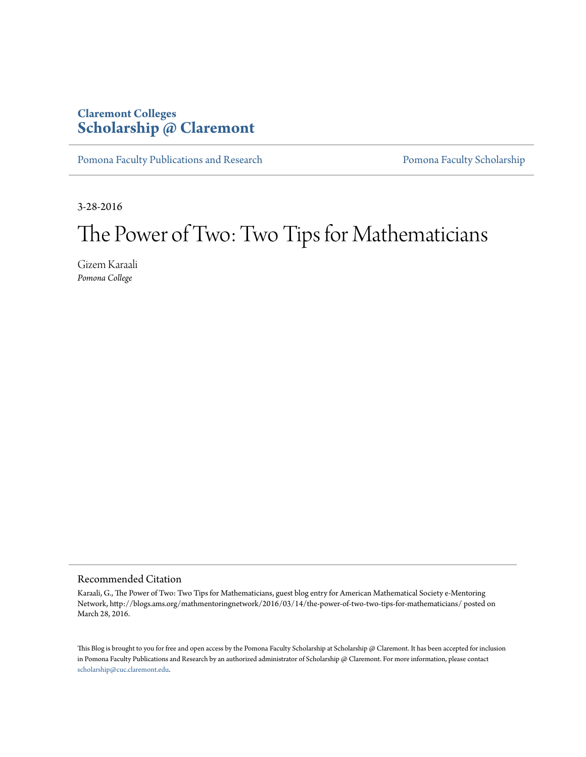# **Claremont Colleges [Scholarship @ Claremont](http://scholarship.claremont.edu)**

[Pomona Faculty Publications and Research](http://scholarship.claremont.edu/pomona_fac_pub) [Pomona Faculty Scholarship](http://scholarship.claremont.edu/pomona_faculty)

3-28-2016

# The Power of Two: Two Tips for Mathematicians

Gizem Karaali *Pomona College*

#### Recommended Citation

Karaali, G., The Power of Two: Two Tips for Mathematicians, guest blog entry for American Mathematical Society e-Mentoring Network, http://blogs.ams.org/mathmentoringnetwork/2016/03/14/the-power-of-two-two-tips-for-mathematicians/ posted on March 28, 2016.

This Blog is brought to you for free and open access by the Pomona Faculty Scholarship at Scholarship @ Claremont. It has been accepted for inclusion in Pomona Faculty Publications and Research by an authorized administrator of Scholarship @ Claremont. For more information, please contact [scholarship@cuc.claremont.edu.](mailto:scholarship@cuc.claremont.edu)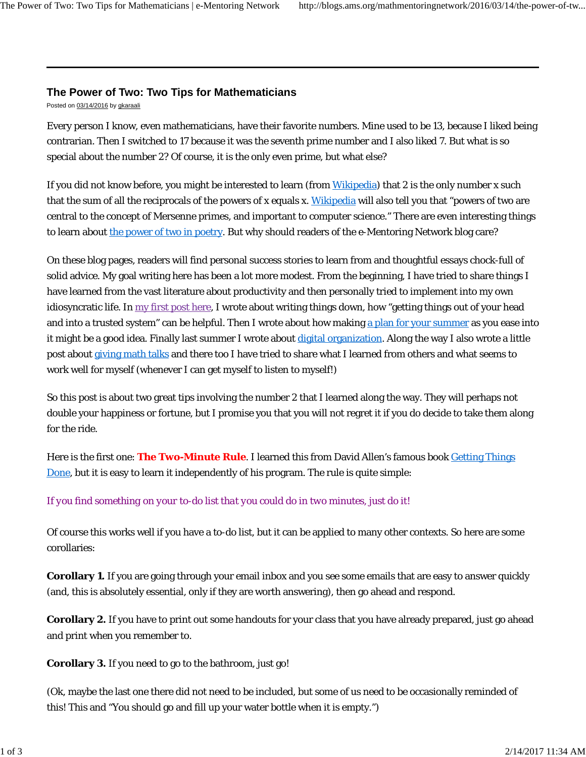### **The Power of Two: Two Tips for Mathematicians**

Posted on 03/14/2016 by gkaraali

Every person I know, even mathematicians, have their favorite numbers. Mine used to be 13, because I liked being contrarian. Then I switched to 17 because it was the seventh prime number and I also liked 7. But what is so special about the number 2? Of course, it is the only even prime, but what else?

If you did not know before, you might be interested to learn (from Wikipedia) that 2 is the only number x such that the sum of all the reciprocals of the powers of x equals x. Wikipedia will also tell you that "powers of two are central to the concept of Mersenne primes, and important to computer science." There are even interesting things to learn about the power of two in poetry. But why should readers of the e-Mentoring Network blog care?

On these blog pages, readers will find personal success stories to learn from and thoughtful essays chock-full of solid advice. My goal writing here has been a lot more modest. From the beginning, I have tried to share things I have learned from the vast literature about productivity and then personally tried to implement into my own idiosyncratic life. In my first post here, I wrote about writing things down, how "getting things out of your head and into a trusted system" can be helpful. Then I wrote about how making a plan for your summer as you ease into it might be a good idea. Finally last summer I wrote about digital organization. Along the way I also wrote a little post about giving math talks and there too I have tried to share what I learned from others and what seems to work well for myself (whenever I can get myself to listen to myself!)

So this post is about two great tips involving the number 2 that I learned along the way. They will perhaps not double your happiness or fortune, but I promise you that you will not regret it if you do decide to take them along for the ride.

Here is the first one: **The Two-Minute Rule**. I learned this from David Allen's famous book Getting Things Done, but it is easy to learn it independently of his program. The rule is quite simple:

## *If you find something on your to-do list that you could do in two minutes, just do it!*

Of course this works well if you have a to-do list, but it can be applied to many other contexts. So here are some corollaries:

**Corollary 1.** If you are going through your email inbox and you see some emails that are easy to answer quickly (and, this is absolutely essential, only if they are worth answering), then go ahead and respond.

**Corollary 2.** If you have to print out some handouts for your class that you have already prepared, just go ahead and print when you remember to.

**Corollary 3.** If you need to go to the bathroom, just go!

(Ok, maybe the last one there did not need to be included, but some of us need to be occasionally reminded of this! This and "You should go and fill up your water bottle when it is empty.")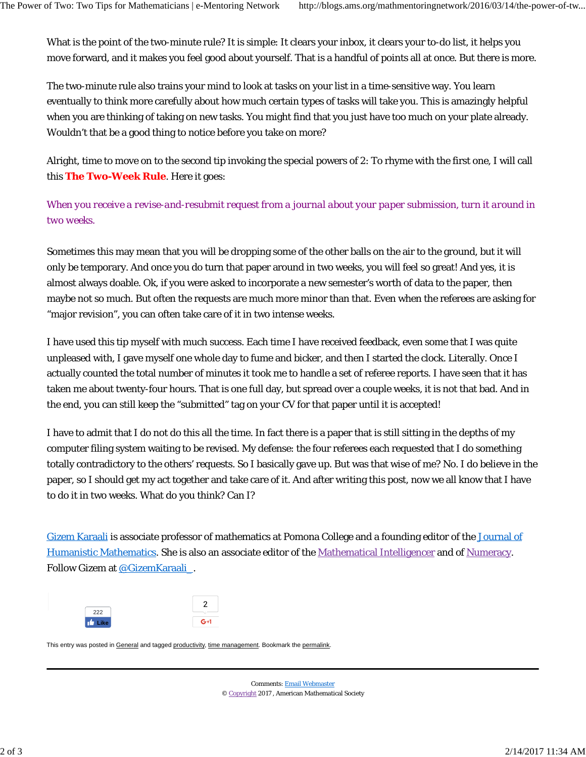What is the point of the two-minute rule? It is simple: It clears your inbox, it clears your to-do list, it helps you move forward, and it makes you feel good about yourself. That is a handful of points all at once. But there is more.

The two-minute rule also trains your mind to look at tasks on your list in a time-sensitive way. You learn eventually to think more carefully about how much certain types of tasks will take you. This is amazingly helpful when you are thinking of taking on new tasks. You might find that you just have too much on your plate already. Wouldn't that be a good thing to notice before you take on more?

Alright, time to move on to the second tip invoking the special powers of 2: To rhyme with the first one, I will call this **The Two-Week Rule**. Here it goes:

*When you receive a revise-and-resubmit request from a journal about your paper submission, turn it around in two weeks.*

Sometimes this may mean that you will be dropping some of the other balls on the air to the ground, but it will only be temporary. And once you do turn that paper around in two weeks, you will feel so great! And yes, it is almost always doable. Ok, if you were asked to incorporate a new semester's worth of data to the paper, then maybe not so much. But often the requests are much more minor than that. Even when the referees are asking for "major revision", you can often take care of it in two intense weeks.

I have used this tip myself with much success. Each time I have received feedback, even some that I was quite unpleased with, I gave myself one whole day to fume and bicker, and then I started the clock. Literally. Once I actually counted the total number of minutes it took me to handle a set of referee reports. I have seen that it has taken me about twenty-four hours. That is one full day, but spread over a couple weeks, it is not that bad. And in the end, you can still keep the "submitted" tag on your CV for that paper until it is accepted!

I have to admit that I do not do this all the time. In fact there is a paper that is still sitting in the depths of my computer filing system waiting to be revised. My defense: the four referees each requested that I do something totally contradictory to the others' requests. So I basically gave up. But was that wise of me? No. I do believe in the paper, so I should get my act together and take care of it. And after writing this post, now we all know that I have to do it in two weeks. What do you think? Can I?

Gizem Karaali is associate professor of mathematics at Pomona College and a founding editor of the Journal of Humanistic Mathematics. She is also an associate editor of the Mathematical Intelligencer and of Numeracy. Follow Gizem at @GizemKaraali



This entry was posted in General and tagged productivity, time management. Bookmark the permalink.

Comments: Email Webmaster © Copyright 2017 , American Mathematical Society